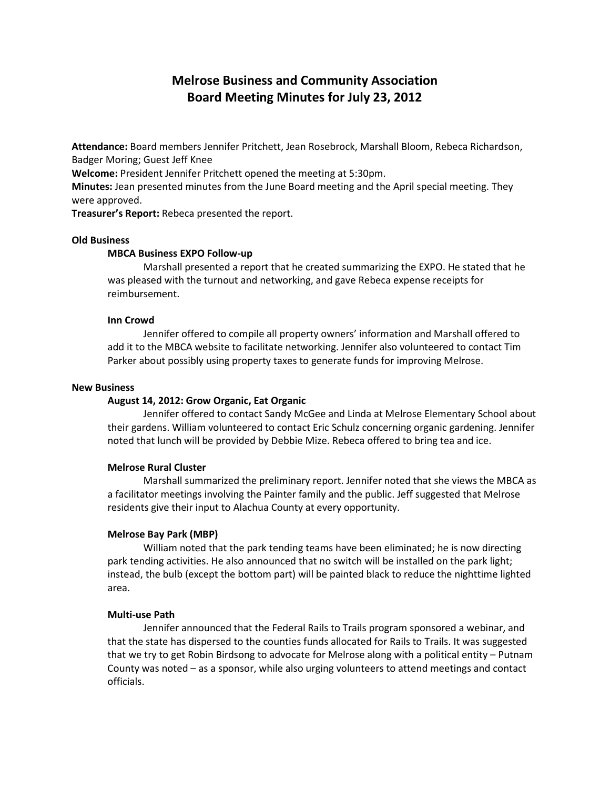# **Melrose Business and Community Association Board Meeting Minutes for July 23, 2012**

**Attendance:** Board members Jennifer Pritchett, Jean Rosebrock, Marshall Bloom, Rebeca Richardson, Badger Moring; Guest Jeff Knee

**Welcome:** President Jennifer Pritchett opened the meeting at 5:30pm.

**Minutes:** Jean presented minutes from the June Board meeting and the April special meeting. They were approved.

**Treasurer's Report:** Rebeca presented the report.

# **Old Business**

#### **MBCA Business EXPO Follow-up**

Marshall presented a report that he created summarizing the EXPO. He stated that he was pleased with the turnout and networking, and gave Rebeca expense receipts for reimbursement.

#### **Inn Crowd**

Jennifer offered to compile all property owners' information and Marshall offered to add it to the MBCA website to facilitate networking. Jennifer also volunteered to contact Tim Parker about possibly using property taxes to generate funds for improving Melrose.

#### **New Business**

# **August 14, 2012: Grow Organic, Eat Organic**

Jennifer offered to contact Sandy McGee and Linda at Melrose Elementary School about their gardens. William volunteered to contact Eric Schulz concerning organic gardening. Jennifer noted that lunch will be provided by Debbie Mize. Rebeca offered to bring tea and ice.

### **Melrose Rural Cluster**

Marshall summarized the preliminary report. Jennifer noted that she views the MBCA as a facilitator meetings involving the Painter family and the public. Jeff suggested that Melrose residents give their input to Alachua County at every opportunity.

#### **Melrose Bay Park (MBP)**

William noted that the park tending teams have been eliminated; he is now directing park tending activities. He also announced that no switch will be installed on the park light; instead, the bulb (except the bottom part) will be painted black to reduce the nighttime lighted area.

#### **Multi-use Path**

Jennifer announced that the Federal Rails to Trails program sponsored a webinar, and that the state has dispersed to the counties funds allocated for Rails to Trails. It was suggested that we try to get Robin Birdsong to advocate for Melrose along with a political entity – Putnam County was noted – as a sponsor, while also urging volunteers to attend meetings and contact officials.